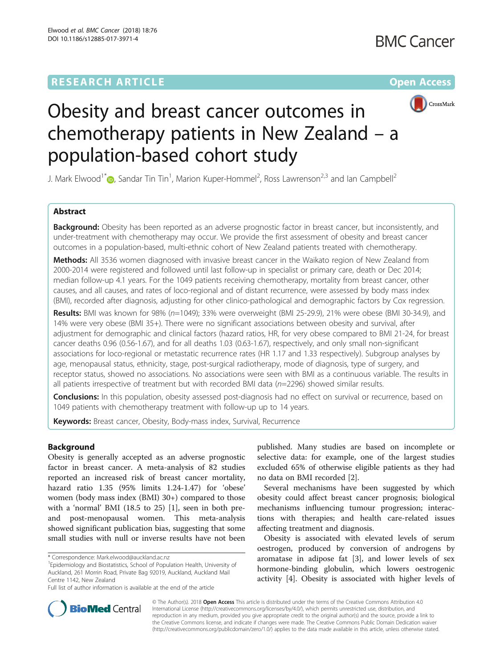## **RESEARCH ARTICLE Example 2014 12:30 The Community Community Community Community Community Community Community**



# Obesity and breast cancer outcomes in chemotherapy patients in New Zealand – a population-based cohort study

J. Mark Elwood<sup>1[\\*](http://orcid.org/0000-0001-5730-4791)</sup> $\bullet$ , Sandar Tin Tin<sup>1</sup>, Marion Kuper-Hommel<sup>2</sup>, Ross Lawrenson<sup>2,3</sup> and Ian Campbell<sup>2</sup>

#### Abstract

**Background:** Obesity has been reported as an adverse prognostic factor in breast cancer, but inconsistently, and under-treatment with chemotherapy may occur. We provide the first assessment of obesity and breast cancer outcomes in a population-based, multi-ethnic cohort of New Zealand patients treated with chemotherapy.

Methods: All 3536 women diagnosed with invasive breast cancer in the Waikato region of New Zealand from 2000-2014 were registered and followed until last follow-up in specialist or primary care, death or Dec 2014; median follow-up 4.1 years. For the 1049 patients receiving chemotherapy, mortality from breast cancer, other causes, and all causes, and rates of loco-regional and of distant recurrence, were assessed by body mass index (BMI), recorded after diagnosis, adjusting for other clinico-pathological and demographic factors by Cox regression.

Results: BMI was known for 98% (n=1049); 33% were overweight (BMI 25-29.9), 21% were obese (BMI 30-34.9), and 14% were very obese (BMI 35+). There were no significant associations between obesity and survival, after adjustment for demographic and clinical factors (hazard ratios, HR, for very obese compared to BMI 21-24, for breast cancer deaths 0.96 (0.56-1.67), and for all deaths 1.03 (0.63-1.67), respectively, and only small non-significant associations for loco-regional or metastatic recurrence rates (HR 1.17 and 1.33 respectively). Subgroup analyses by age, menopausal status, ethnicity, stage, post-surgical radiotherapy, mode of diagnosis, type of surgery, and receptor status, showed no associations. No associations were seen with BMI as a continuous variable. The results in all patients irrespective of treatment but with recorded BMI data  $(n=2296)$  showed similar results.

Conclusions: In this population, obesity assessed post-diagnosis had no effect on survival or recurrence, based on 1049 patients with chemotherapy treatment with follow-up up to 14 years.

Keywords: Breast cancer, Obesity, Body-mass index, Survival, Recurrence

#### Background

Obesity is generally accepted as an adverse prognostic factor in breast cancer. A meta-analysis of 82 studies reported an increased risk of breast cancer mortality, hazard ratio 1.35 (95% limits 1.24-1.47) for 'obese' women (body mass index (BMI) 30+) compared to those with a 'normal' BMI (18.5 to 25) [[1\]](#page-11-0), seen in both preand post-menopausal women. This meta-analysis showed significant publication bias, suggesting that some small studies with null or inverse results have not been

published. Many studies are based on incomplete or selective data: for example, one of the largest studies excluded 65% of otherwise eligible patients as they had no data on BMI recorded [\[2](#page-11-0)].

Several mechanisms have been suggested by which obesity could affect breast cancer prognosis; biological mechanisms influencing tumour progression; interactions with therapies; and health care-related issues affecting treatment and diagnosis.

Obesity is associated with elevated levels of serum oestrogen, produced by conversion of androgens by aromatase in adipose fat [\[3](#page-11-0)], and lower levels of sex hormone-binding globulin, which lowers oestrogenic activity [[4\]](#page-11-0). Obesity is associated with higher levels of



© The Author(s). 2018 Open Access This article is distributed under the terms of the Creative Commons Attribution 4.0 International License [\(http://creativecommons.org/licenses/by/4.0/](http://creativecommons.org/licenses/by/4.0/)), which permits unrestricted use, distribution, and reproduction in any medium, provided you give appropriate credit to the original author(s) and the source, provide a link to the Creative Commons license, and indicate if changes were made. The Creative Commons Public Domain Dedication waiver [\(http://creativecommons.org/publicdomain/zero/1.0/](http://creativecommons.org/publicdomain/zero/1.0/)) applies to the data made available in this article, unless otherwise stated.

<sup>\*</sup> Correspondence: [Mark.elwood@auckland.ac.nz](mailto:Mark.elwood@auckland.ac.nz) <sup>1</sup>

<sup>&</sup>lt;sup>1</sup> Epidemiology and Biostatistics, School of Population Health, University of Auckland, 261 Morrin Road, Private Bag 92019, Auckland, Auckland Mail Centre 1142, New Zealand

Full list of author information is available at the end of the article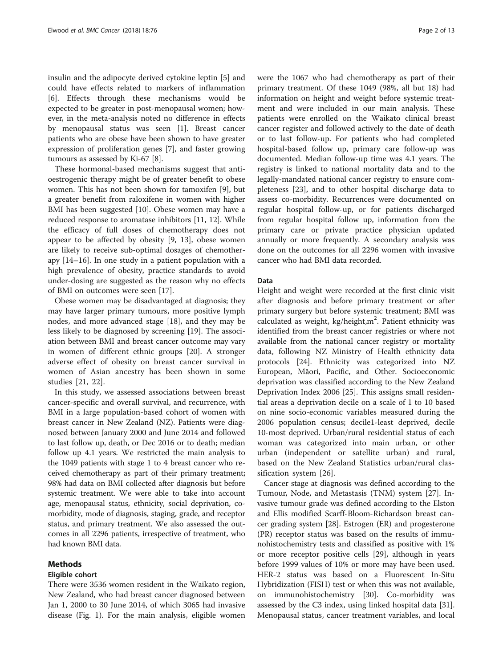insulin and the adipocyte derived cytokine leptin [\[5](#page-11-0)] and could have effects related to markers of inflammation [[6\]](#page-11-0). Effects through these mechanisms would be expected to be greater in post-menopausal women; however, in the meta-analysis noted no difference in effects by menopausal status was seen [\[1\]](#page-11-0). Breast cancer patients who are obese have been shown to have greater expression of proliferation genes [[7\]](#page-11-0), and faster growing tumours as assessed by Ki-67 [\[8\]](#page-11-0).

These hormonal-based mechanisms suggest that antioestrogenic therapy might be of greater benefit to obese women. This has not been shown for tamoxifen [\[9](#page-11-0)], but a greater benefit from raloxifene in women with higher BMI has been suggested [[10](#page-11-0)]. Obese women may have a reduced response to aromatase inhibitors [[11](#page-11-0), [12](#page-11-0)]. While the efficacy of full doses of chemotherapy does not appear to be affected by obesity [[9, 13](#page-11-0)], obese women are likely to receive sub-optimal dosages of chemotherapy [\[14](#page-11-0)–[16\]](#page-12-0). In one study in a patient population with a high prevalence of obesity, practice standards to avoid under-dosing are suggested as the reason why no effects of BMI on outcomes were seen [[17\]](#page-12-0).

Obese women may be disadvantaged at diagnosis; they may have larger primary tumours, more positive lymph nodes, and more advanced stage [[18\]](#page-12-0), and they may be less likely to be diagnosed by screening [\[19\]](#page-12-0). The association between BMI and breast cancer outcome may vary in women of different ethnic groups [\[20\]](#page-12-0). A stronger adverse effect of obesity on breast cancer survival in women of Asian ancestry has been shown in some studies [[21, 22\]](#page-12-0).

In this study, we assessed associations between breast cancer-specific and overall survival, and recurrence, with BMI in a large population-based cohort of women with breast cancer in New Zealand (NZ). Patients were diagnosed between January 2000 and June 2014 and followed to last follow up, death, or Dec 2016 or to death; median follow up 4.1 years. We restricted the main analysis to the 1049 patients with stage 1 to 4 breast cancer who received chemotherapy as part of their primary treatment; 98% had data on BMI collected after diagnosis but before systemic treatment. We were able to take into account age, menopausal status, ethnicity, social deprivation, comorbidity, mode of diagnosis, staging, grade, and receptor status, and primary treatment. We also assessed the outcomes in all 2296 patients, irrespective of treatment, who had known BMI data.

#### Methods

#### Eligible cohort

There were 3536 women resident in the Waikato region, New Zealand, who had breast cancer diagnosed between Jan 1, 2000 to 30 June 2014, of which 3065 had invasive disease (Fig. [1](#page-2-0)). For the main analysis, eligible women were the 1067 who had chemotherapy as part of their primary treatment. Of these 1049 (98%, all but 18) had information on height and weight before systemic treatment and were included in our main analysis. These patients were enrolled on the Waikato clinical breast cancer register and followed actively to the date of death or to last follow-up. For patients who had completed hospital-based follow up, primary care follow-up was documented. Median follow-up time was 4.1 years. The registry is linked to national mortality data and to the legally-mandated national cancer registry to ensure completeness [[23](#page-12-0)], and to other hospital discharge data to assess co-morbidity. Recurrences were documented on regular hospital follow-up, or for patients discharged from regular hospital follow up, information from the primary care or private practice physician updated annually or more frequently. A secondary analysis was done on the outcomes for all 2296 women with invasive cancer who had BMI data recorded.

#### Data

Height and weight were recorded at the first clinic visit after diagnosis and before primary treatment or after primary surgery but before systemic treatment; BMI was calculated as weight,  $kg/h$ eight, $m^2$ . Patient ethnicity was identified from the breast cancer registries or where not available from the national cancer registry or mortality data, following NZ Ministry of Health ethnicity data protocols [\[24](#page-12-0)]. Ethnicity was categorized into NZ European, Māori, Pacific, and Other. Socioeconomic deprivation was classified according to the New Zealand Deprivation Index 2006 [[25\]](#page-12-0). This assigns small residential areas a deprivation decile on a scale of 1 to 10 based on nine socio-economic variables measured during the 2006 population census; decile1-least deprived, decile 10-most deprived. Urban/rural residential status of each woman was categorized into main urban, or other urban (independent or satellite urban) and rural, based on the New Zealand Statistics urban/rural classification system [[26\]](#page-12-0).

Cancer stage at diagnosis was defined according to the Tumour, Node, and Metastasis (TNM) system [\[27\]](#page-12-0). Invasive tumour grade was defined according to the Elston and Ellis modified Scarff-Bloom-Richardson breast cancer grading system [[28](#page-12-0)]. Estrogen (ER) and progesterone (PR) receptor status was based on the results of immunohistochemistry tests and classified as positive with 1% or more receptor positive cells [[29\]](#page-12-0), although in years before 1999 values of 10% or more may have been used. HER-2 status was based on a Fluorescent In-Situ Hybridization (FISH) test or when this was not available, on immunohistochemistry [\[30\]](#page-12-0). Co-morbidity was assessed by the C3 index, using linked hospital data [\[31](#page-12-0)]. Menopausal status, cancer treatment variables, and local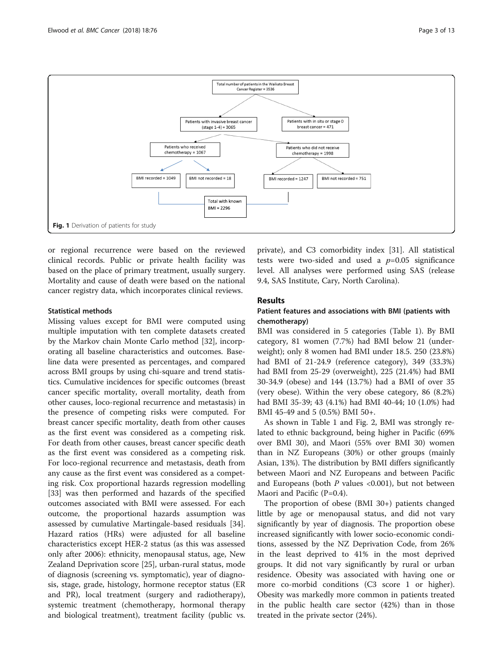<span id="page-2-0"></span>

or regional recurrence were based on the reviewed clinical records. Public or private health facility was based on the place of primary treatment, usually surgery. Mortality and cause of death were based on the national cancer registry data, which incorporates clinical reviews.

#### Statistical methods

Missing values except for BMI were computed using multiple imputation with ten complete datasets created by the Markov chain Monte Carlo method [[32\]](#page-12-0), incorporating all baseline characteristics and outcomes. Baseline data were presented as percentages, and compared across BMI groups by using chi-square and trend statistics. Cumulative incidences for specific outcomes (breast cancer specific mortality, overall mortality, death from other causes, loco-regional recurrence and metastasis) in the presence of competing risks were computed. For breast cancer specific mortality, death from other causes as the first event was considered as a competing risk. For death from other causes, breast cancer specific death as the first event was considered as a competing risk. For loco-regional recurrence and metastasis, death from any cause as the first event was considered as a competing risk. Cox proportional hazards regression modelling [[33\]](#page-12-0) was then performed and hazards of the specified outcomes associated with BMI were assessed. For each outcome, the proportional hazards assumption was assessed by cumulative Martingale-based residuals [\[34](#page-12-0)]. Hazard ratios (HRs) were adjusted for all baseline characteristics except HER-2 status (as this was assessed only after 2006): ethnicity, menopausal status, age, New Zealand Deprivation score [[25](#page-12-0)], urban-rural status, mode of diagnosis (screening vs. symptomatic), year of diagnosis, stage, grade, histology, hormone receptor status (ER and PR), local treatment (surgery and radiotherapy), systemic treatment (chemotherapy, hormonal therapy and biological treatment), treatment facility (public vs.

private), and C3 comorbidity index [[31\]](#page-12-0). All statistical tests were two-sided and used a  $p=0.05$  significance level. All analyses were performed using SAS (release 9.4, SAS Institute, Cary, North Carolina).

#### Results

#### Patient features and associations with BMI (patients with chemotherapy)

BMI was considered in 5 categories (Table [1](#page-3-0)). By BMI category, 81 women (7.7%) had BMI below 21 (underweight); only 8 women had BMI under 18.5. 250 (23.8%) had BMI of 21-24.9 (reference category), 349 (33.3%) had BMI from 25-29 (overweight), 225 (21.4%) had BMI 30-34.9 (obese) and 144 (13.7%) had a BMI of over 35 (very obese). Within the very obese category, 86 (8.2%) had BMI 35-39; 43 (4.1%) had BMI 40-44; 10 (1.0%) had BMI 45-49 and 5 (0.5%) BMI 50+.

As shown in Table [1](#page-3-0) and Fig. [2](#page-5-0), BMI was strongly related to ethnic background, being higher in Pacific (69% over BMI 30), and Maori (55% over BMI 30) women than in NZ Europeans (30%) or other groups (mainly Asian, 13%). The distribution by BMI differs significantly between Maori and NZ Europeans and between Pacific and Europeans (both  $P$  values <0.001), but not between Maori and Pacific (P=0.4).

The proportion of obese (BMI 30+) patients changed little by age or menopausal status, and did not vary significantly by year of diagnosis. The proportion obese increased significantly with lower socio-economic conditions, assessed by the NZ Deprivation Code, from 26% in the least deprived to 41% in the most deprived groups. It did not vary significantly by rural or urban residence. Obesity was associated with having one or more co-morbid conditions (C3 score 1 or higher). Obesity was markedly more common in patients treated in the public health care sector (42%) than in those treated in the private sector (24%).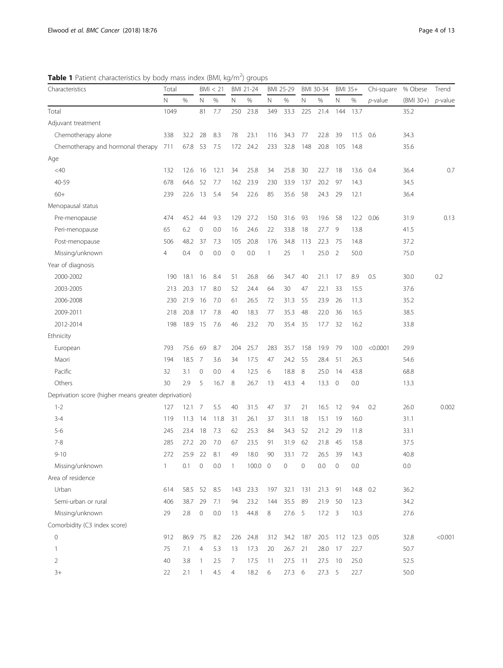<span id="page-3-0"></span>Table 1 Patient characteristics by body mass index (BMI, kg/m<sup>2</sup>) groups

| Characteristics                                      | Total |         |                | BM < 21 |                          | BMI 21-24 |              | BMI 25-29 |                | BMI 30-34      | <b>BMI 35+</b>      |           | Chi-square | % Obese     | Trend      |
|------------------------------------------------------|-------|---------|----------------|---------|--------------------------|-----------|--------------|-----------|----------------|----------------|---------------------|-----------|------------|-------------|------------|
|                                                      | N     | %       | Ν              | $\%$    | N                        | %         | N            | %         | N              | %              | N                   | %         | p-value    | $(BMI 30+)$ | $p$ -value |
| Total                                                | 1049  |         | 81             | 7.7     | 250                      | 23.8      | 349          | 33.3      | 225            | 21.4           | 144                 | 13.7      |            | 35.2        |            |
| Adjuvant treatment                                   |       |         |                |         |                          |           |              |           |                |                |                     |           |            |             |            |
| Chemotherapy alone                                   | 338   | 32.2    | 28             | 8.3     | 78                       | 23.1      | 116          | 34.3      | 77             | 22.8           | 39                  | 11.5      | 0.6        | 34.3        |            |
| Chemotherapy and hormonal therapy                    | 711   | 67.8    | 53             | 7.5     | 172                      | 24.2      | 233          | 32.8      | 148            | 20.8           | 105                 | 14.8      |            | 35.6        |            |
| Age                                                  |       |         |                |         |                          |           |              |           |                |                |                     |           |            |             |            |
| $<$ 40                                               | 132   | 12.6    | 16             | 12.1    | 34                       | 25.8      | 34           | 25.8      | 30             | 22.7           | 18                  | 13.6      | 0.4        | 36.4        | 0.7        |
| 40-59                                                | 678   | 64.6    | 52             | 7.7     | 162                      | 23.9      | 230          | 33.9      | 137            | 20.2           | 97                  | 14.3      |            | 34.5        |            |
| $60+$                                                | 239   | 22.6    | 13             | 5.4     | 54                       | 22.6      | 85           | 35.6      | 58             | 24.3           | 29                  | 12.1      |            | 36.4        |            |
| Menopausal status                                    |       |         |                |         |                          |           |              |           |                |                |                     |           |            |             |            |
| Pre-menopause                                        | 474   | 45.2    | 44             | 9.3     | 129                      | 27.2      | 150          | 31.6      | 93             | 19.6           | 58                  | 12.2      | 0.06       | 31.9        | 0.13       |
| Peri-menopause                                       | 65    | 6.2     | $\mathbf 0$    | 0.0     | 16                       | 24.6      | 22           | 33.8      | 18             | 27.7           | 9                   | 13.8      |            | 41.5        |            |
| Post-menopause                                       | 506   | 48.2    | 37             | 7.3     | 105                      | 20.8      | 176          | 34.8      | 113            | 22.3           | -75                 | 14.8      |            | 37.2        |            |
| Missing/unknown                                      | 4     | 0.4     | $\mathbf 0$    | 0.0     | $\mathsf{O}\xspace$      | 0.0       | $\mathbf{1}$ | 25        | 1              | 25.0           | 2                   | 50.0      |            | 75.0        |            |
| Year of diagnosis                                    |       |         |                |         |                          |           |              |           |                |                |                     |           |            |             |            |
| 2000-2002                                            | 190   | 18.1    | 16             | 8.4     | 51                       | 26.8      | 66           | 34.7      | 40             | 21.1           | 17                  | 8.9       | 0.5        | 30.0        | 0.2        |
| 2003-2005                                            | 213   | 20.3    | 17             | 8.0     | 52                       | 24.4      | 64           | 30        | 47             | 22.1           | 33                  | 15.5      |            | 37.6        |            |
| 2006-2008                                            | 230   | 21.9    | 16             | 7.0     | 61                       | 26.5      | 72           | 31.3      | 55             | 23.9           | 26                  | 11.3      |            | 35.2        |            |
| 2009-2011                                            | 218   | 20.8    | 17             | 7.8     | 40                       | 18.3      | 77           | 35.3      | 48             | 22.0           | 36                  | 16.5      |            | 38.5        |            |
| 2012-2014                                            | 198   | 18.9    | 15             | 7.6     | 46                       | 23.2      | 70           | 35.4      | 35             | 17.7           | 32                  | 16.2      |            | 33.8        |            |
| Ethnicity                                            |       |         |                |         |                          |           |              |           |                |                |                     |           |            |             |            |
| European                                             | 793   | 75.6    | 69             | 8.7     | 204                      | 25.7      | 283          | 35.7      | 158            | 19.9           | 79                  | 10.0      | < 0.0001   | 29.9        |            |
| Maori                                                | 194   | 18.5    | -7             | 3.6     | 34                       | 17.5      | 47           | 24.2      | 55             | 28.4           | 51                  | 26.3      |            | 54.6        |            |
| Pacific                                              | 32    | 3.1     | $\mathbf{0}$   | 0.0     | $\overline{4}$           | 12.5      | 6            | 18.8      | 8              | 25.0           | 14                  | 43.8      |            | 68.8        |            |
| Others                                               | 30    | 2.9     | 5              | 16.7    | 8                        | 26.7      | 13           | 43.3      | $\overline{4}$ | 13.3           | $\overline{0}$      | 0.0       |            | 13.3        |            |
| Deprivation score (higher means greater deprivation) |       |         |                |         |                          |           |              |           |                |                |                     |           |            |             |            |
| $1 - 2$                                              | 127   | 12.1    | 7              | 5.5     | 40                       | 31.5      | 47           | 37        | 21             | 16.5           | 12                  | 9.4       | 0.2        | 26.0        | 0.002      |
| $3 - 4$                                              | 119   | 11.3    | 14             | 11.8    | 31                       | 26.1      | 37           | 31.1      | 18             | 15.1           | 19                  | 16.0      |            | 31.1        |            |
| $5 - 6$                                              | 245   | 23.4    | 18             | 7.3     | 62                       | 25.3      | 84           | 34.3      | 52             | 21.2           | 29                  | 11.8      |            | 33.1        |            |
| $7 - 8$                                              | 285   | 27.2    | 20             | 7.0     | 67                       | 23.5      | 91           | 31.9      | 62             | 21.8           | 45                  | 15.8      |            | 37.5        |            |
| $9 - 10$                                             | 272   | 25.9    | 22             | 8.1     | 49                       | 18.0      | 90           | 33.1      | 72             | 26.5           | -39                 | 14.3      |            | 40.8        |            |
| Missing/unknown                                      | 1     | 0.1     | $\mathbf 0$    | $0.0\,$ | $\overline{\phantom{a}}$ | 100.0 0   |              | 0         | $\mathsf O$    | 0.0            | $\mathsf{O}\xspace$ | 0.0       |            | 0.0         |            |
| Area of residence                                    |       |         |                |         |                          |           |              |           |                |                |                     |           |            |             |            |
| Urban                                                | 614   | 58.5 52 |                | 8.5     | 143                      | 23.3      | 197          | 32.1      | 131            | 21.3           | -91                 | 14.8      | 0.2        | 36.2        |            |
| Semi-urban or rural                                  | 406   | 38.7 29 |                | 7.1     | 94                       | 23.2      | 144          | 35.5      | 89             | 21.9           | - 50                | 12.3      |            | 34.2        |            |
| Missing/unknown                                      | 29    | 2.8     | $\mathbb O$    | 0.0     | 13                       | 44.8      | 8            | 27.6 5    |                | $17.2 \quad 3$ |                     | 10.3      |            | 27.6        |            |
| Comorbidity (C3 index score)                         |       |         |                |         |                          |           |              |           |                |                |                     |           |            |             |            |
| $\mathbf 0$                                          | 912   | 86.9 75 |                | 8.2     | 226                      | 24.8      | 312          | 34.2      | 187            | 20.5           | 112                 | 12.3 0.05 |            | 32.8        | < 0.001    |
| $\mathbf{1}$                                         | 75    | 7.1     | $\overline{4}$ | 5.3     | 13                       | 17.3      | 20           | 26.7      | 21             | 28.0           | 17                  | 22.7      |            | 50.7        |            |
| $\overline{2}$                                       | 40    | 3.8     | $\mathbf{1}$   | 2.5     | 7                        | 17.5      | 11           | 27.5      | -11            | 27.5           | 10                  | 25.0      |            | 52.5        |            |
| $3+$                                                 | 22    | 2.1     | $\mathbf{1}$   | 4.5     | $\overline{4}$           | 18.2      | 6            | 27.3 6    |                | 27.3 5         |                     | 22.7      |            | 50.0        |            |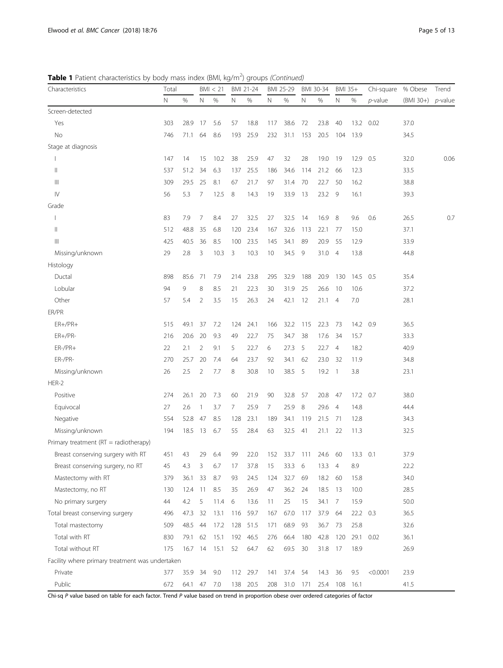Table 1 Patient characteristics by body mass index (BMI, kg/m<sup>2</sup>) groups (Continued)

| Characteristics                                 | Total |         | BM < 21        |      | BMI 21-24 | BMI 25-29 | BMI 30-34 |          | BMI 35+ |      | Chi-square     | % Obese  | Trend    |             |            |
|-------------------------------------------------|-------|---------|----------------|------|-----------|-----------|-----------|----------|---------|------|----------------|----------|----------|-------------|------------|
|                                                 | Ν     | $\%$    | N              | %    | N         | %         | N         | $\%$     | N       | %    | Ν              | %        | p-value  | $(BMI 30+)$ | $p$ -value |
| Screen-detected                                 |       |         |                |      |           |           |           |          |         |      |                |          |          |             |            |
| Yes                                             | 303   | 28.9    | 17             | 5.6  | 57        | 18.8      | 117       | 38.6     | 72      | 23.8 | 40             | 13.2     | 0.02     | 37.0        |            |
| No                                              | 746   | 71.1    | 64             | 8.6  | 193       | 25.9      | 232       | 31.1     | 153     | 20.5 | 104            | 13.9     |          | 34.5        |            |
| Stage at diagnosis                              |       |         |                |      |           |           |           |          |         |      |                |          |          |             |            |
|                                                 | 147   | 14      | 15             | 10.2 | 38        | 25.9      | 47        | 32       | 28      | 19.0 | 19             | 12.9     | 0.5      | 32.0        | 0.06       |
| Ш                                               | 537   | 51.2    | 34             | 6.3  | 137       | 25.5      | 186       | 34.6     | 114     | 21.2 | 66             | 12.3     |          | 33.5        |            |
| Ш                                               | 309   | 29.5    | 25             | 8.1  | 67        | 21.7      | 97        | 31.4     | 70      | 22.7 | 50             | 16.2     |          | 38.8        |            |
| $\mathsf{IV}$                                   | 56    | 5.3     | 7              | 12.5 | 8         | 14.3      | 19        | 33.9     | 13      | 23.2 | 9              | 16.1     |          | 39.3        |            |
| Grade                                           |       |         |                |      |           |           |           |          |         |      |                |          |          |             |            |
|                                                 | 83    | 7.9     | 7              | 8.4  | 27        | 32.5      | 27        | 32.5     | 14      | 16.9 | 8              | 9.6      | 0.6      | 26.5        | 0.7        |
| $\begin{array}{c} \hline \end{array}$           | 512   | 48.8    | 35             | 6.8  | 120       | 23.4      | 167       | 32.6     | 113     | 22.1 | 77             | 15.0     |          | 37.1        |            |
| Ш                                               | 425   | 40.5    | 36             | 8.5  | 100       | 23.5      | 145       | 34.1     | 89      | 20.9 | 55             | 12.9     |          | 33.9        |            |
| Missing/unknown                                 | 29    | 2.8     | 3              | 10.3 | 3         | 10.3      | 10        | 34.5     | 9       | 31.0 | $\overline{4}$ | 13.8     |          | 44.8        |            |
| Histology                                       |       |         |                |      |           |           |           |          |         |      |                |          |          |             |            |
| Ductal                                          | 898   | 85.6    | -71            | 7.9  | 214       | 23.8      | 295       | 32.9     | 188     | 20.9 | 130            | 14.5     | 0.5      | 35.4        |            |
| Lobular                                         | 94    | 9       | 8              | 8.5  | 21        | 22.3      | 30        | 31.9     | 25      | 26.6 | 10             | 10.6     |          | 37.2        |            |
| Other                                           | 57    | 5.4     | $\overline{2}$ | 3.5  | 15        | 26.3      | 24        | 42.1     | 12      | 21.1 | 4              | 7.0      |          | 28.1        |            |
| ER/PR                                           |       |         |                |      |           |           |           |          |         |      |                |          |          |             |            |
| $ER+/PR+$                                       | 515   | 49.1    | 37             | 7.2  | 124       | 24.1      | 166       | 32.2     | 115     | 22.3 | 73             | 14.2     | 0.9      | 36.5        |            |
| $ER+/PR-$                                       | 216   | 20.6    | 20             | 9.3  | 49        | 22.7      | 75        | 34.7     | 38      | 17.6 | 34             | 15.7     |          | 33.3        |            |
| ER-/PR+                                         | 22    | 2.1     | $\overline{2}$ | 9.1  | 5         | 22.7      | 6         | 27.3     | -5      | 22.7 | $\overline{4}$ | 18.2     |          | 40.9        |            |
| ER-/PR-                                         | 270   | 25.7    | 20             | 7.4  | 64        | 23.7      | 92        | 34.1     | 62      | 23.0 | 32             | 11.9     |          | 34.8        |            |
| Missing/unknown                                 | 26    | 2.5     | $\overline{2}$ | 7.7  | 8         | 30.8      | 10        | 38.5     | 5       | 19.2 | $\overline{1}$ | 3.8      |          | 23.1        |            |
| HER-2                                           |       |         |                |      |           |           |           |          |         |      |                |          |          |             |            |
| Positive                                        | 274   | 26.1    | 20             | 7.3  | 60        | 21.9      | 90        | 32.8     | 57      | 20.8 | 47             | 17.2     | 0.7      | 38.0        |            |
| Equivocal                                       | 27    | 2.6     | -1             | 3.7  | 7         | 25.9      | 7.        | 25.9     | 8       | 29.6 | $\overline{4}$ | 14.8     |          | 44.4        |            |
| Negative                                        | 554   | 52.8    | 47             | 8.5  | 128       | 23.1      | 189       | 34.1     | 119     | 21.5 | -71            | 12.8     |          | 34.3        |            |
| Missing/unknown                                 | 194   | 18.5    | 13             | 6.7  | 55        | 28.4      | 63        | 32.5     | 41      | 21.1 | 22             | 11.3     |          | 32.5        |            |
| Primary treatment (RT = radiotherapy)           |       |         |                |      |           |           |           |          |         |      |                |          |          |             |            |
| Breast conserving surgery with RT               | 451   | 43      | 29             | 6.4  | 99        | 22.0      | 152       | 33.7     | 111     | 24.6 | 60             | 13.3 0.1 |          | 37.9        |            |
| Breast conserving surgery, no RT                | 45    | 4.3     | 3              | 6.7  | 17        | 37.8      | 15        | 33.3     | 6       | 13.3 | $\overline{4}$ | 8.9      |          | 22.2        |            |
| Mastectomy with RT                              | 379   | 36.1    | 33             | 8.7  | 93        | 24.5      | 124       | 32.7     | 69      | 18.2 | 60             | 15.8     |          | 34.0        |            |
| Mastectomy, no RT                               | 130   | 12.4 11 |                | 8.5  | 35        | 26.9      | 47        | 36.2     | 24      | 18.5 | -13            | 10.0     |          | 28.5        |            |
| No primary surgery                              | 44    | 4.2     | 5              | 11.4 | 6         | 13.6      | 11        | 25       | 15      | 34.1 | -7             | 15.9     |          | 50.0        |            |
| Total breast conserving surgery                 | 496   | 47.3    | 32             | 13.1 | 116       | 59.7      | 167       | 67.0     | 117     | 37.9 | 64             | 22.2 0.3 |          | 36.5        |            |
| Total mastectomy                                | 509   | 48.5    | -44            | 17.2 | 128       | 51.5      | 171       | 68.9     | 93      | 36.7 | 73             | 25.8     |          | 32.6        |            |
| Total with RT                                   | 830   | 79.1    | 62             | 15.1 | 192       | 46.5      | 276       | 66.4     | 180     | 42.8 | 120            | 29.1     | 0.02     | 36.1        |            |
| Total without RT                                | 175   | 16.7 14 |                | 15.1 | 52        | 64.7      | 62        | 69.5     | 30      | 31.8 | 17             | 18.9     |          | 26.9        |            |
| Facility where primary treatment was undertaken |       |         |                |      |           |           |           |          |         |      |                |          |          |             |            |
| Private                                         | 377   | 35.9 34 |                | 9.0  |           | 112 29.7  | 141       | 37.4     | 54      | 14.3 | 36             | 9.5      | < 0.0001 | 23.9        |            |
| Public                                          | 672   | 64.1 47 |                | 7.0  |           | 138 20.5  | 208       | 31.0 171 |         |      | 25.4 108 16.1  |          |          | 41.5        |            |

Chi-sq P value based on table for each factor. Trend P value based on trend in proportion obese over ordered categories of factor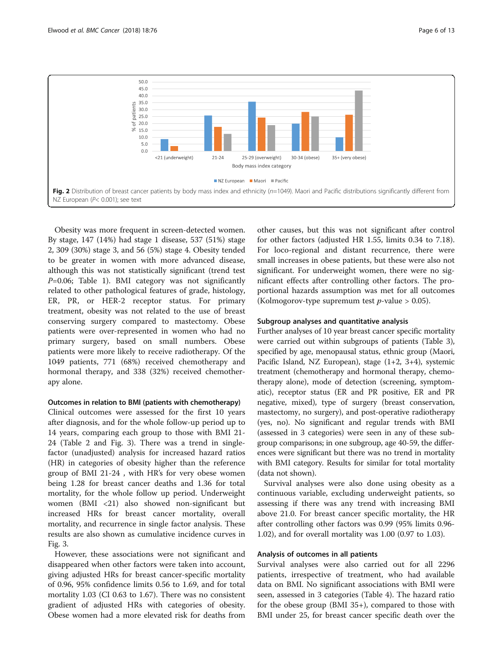<span id="page-5-0"></span>

Obesity was more frequent in screen-detected women. By stage, 147 (14%) had stage 1 disease, 537 (51%) stage 2, 309 (30%) stage 3, and 56 (5%) stage 4. Obesity tended to be greater in women with more advanced disease, although this was not statistically significant (trend test  $P=0.06$ ; Table [1\)](#page-3-0). BMI category was not significantly related to other pathological features of grade, histology, ER, PR, or HER-2 receptor status. For primary treatment, obesity was not related to the use of breast conserving surgery compared to mastectomy. Obese patients were over-represented in women who had no primary surgery, based on small numbers. Obese patients were more likely to receive radiotherapy. Of the 1049 patients, 771 (68%) received chemotherapy and hormonal therapy, and 338 (32%) received chemotherapy alone.

#### Outcomes in relation to BMI (patients with chemotherapy)

Clinical outcomes were assessed for the first 10 years after diagnosis, and for the whole follow-up period up to 14 years, comparing each group to those with BMI 21- 24 (Table [2](#page-6-0) and Fig. [3\)](#page-8-0). There was a trend in singlefactor (unadjusted) analysis for increased hazard ratios (HR) in categories of obesity higher than the reference group of BMI 21-24 , with HR's for very obese women being 1.28 for breast cancer deaths and 1.36 for total mortality, for the whole follow up period. Underweight women (BMI <21) also showed non-significant but increased HRs for breast cancer mortality, overall mortality, and recurrence in single factor analysis. These results are also shown as cumulative incidence curves in Fig. [3](#page-8-0).

However, these associations were not significant and disappeared when other factors were taken into account, giving adjusted HRs for breast cancer-specific mortality of 0.96, 95% confidence limits 0.56 to 1.69, and for total mortality 1.03 (CI 0.63 to 1.67). There was no consistent gradient of adjusted HRs with categories of obesity. Obese women had a more elevated risk for deaths from other causes, but this was not significant after control for other factors (adjusted HR 1.55, limits 0.34 to 7.18). For loco-regional and distant recurrence, there were small increases in obese patients, but these were also not significant. For underweight women, there were no significant effects after controlling other factors. The proportional hazards assumption was met for all outcomes (Kolmogorov-type supremum test  $p$ -value > 0.05).

#### Subgroup analyses and quantitative analysis

Further analyses of 10 year breast cancer specific mortality were carried out within subgroups of patients (Table [3](#page-9-0)), specified by age, menopausal status, ethnic group (Maori, Pacific Island, NZ European), stage (1+2, 3+4), systemic treatment (chemotherapy and hormonal therapy, chemotherapy alone), mode of detection (screening, symptomatic), receptor status (ER and PR positive, ER and PR negative, mixed), type of surgery (breast conservation, mastectomy, no surgery), and post-operative radiotherapy (yes, no). No significant and regular trends with BMI (assessed in 3 categories) were seen in any of these subgroup comparisons; in one subgroup, age 40-59, the differences were significant but there was no trend in mortality with BMI category. Results for similar for total mortality (data not shown).

Survival analyses were also done using obesity as a continuous variable, excluding underweight patients, so assessing if there was any trend with increasing BMI above 21.0. For breast cancer specific mortality, the HR after controlling other factors was 0.99 (95% limits 0.96- 1.02), and for overall mortality was 1.00 (0.97 to 1.03).

#### Analysis of outcomes in all patients

Survival analyses were also carried out for all 2296 patients, irrespective of treatment, who had available data on BMI. No significant associations with BMI were seen, assessed in 3 categories (Table [4](#page-10-0)). The hazard ratio for the obese group (BMI 35+), compared to those with BMI under 25, for breast cancer specific death over the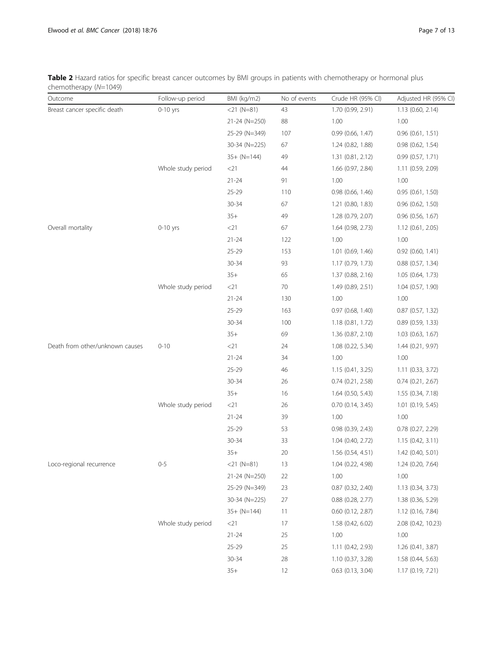<span id="page-6-0"></span>Table 2 Hazard ratios for specific breast cancer outcomes by BMI groups in patients with chemotherapy or hormonal plus chemotherapy (N=1049)

| Outcome                         | Follow-up period   | BMI (kg/m2)   | No of events | Crude HR (95% CI)     | Adjusted HR (95% CI)  |
|---------------------------------|--------------------|---------------|--------------|-----------------------|-----------------------|
| Breast cancer specific death    | $0-10$ yrs         | $<$ 21 (N=81) | 43           | 1.70 (0.99, 2.91)     | 1.13 (0.60, 2.14)     |
|                                 |                    | 21-24 (N=250) | 88           | 1.00                  | 1.00                  |
|                                 |                    | 25-29 (N=349) | 107          | 0.99 (0.66, 1.47)     | $0.96$ $(0.61, 1.51)$ |
|                                 |                    | 30-34 (N=225) | 67           | 1.24 (0.82, 1.88)     | $0.98$ $(0.62, 1.54)$ |
|                                 |                    | $35+ (N=144)$ | 49           | 1.31(0.81, 2.12)      | 0.99(0.57, 1.71)      |
|                                 | Whole study period | $<$ 21        | 44           | 1.66 (0.97, 2.84)     | 1.11 (0.59, 2.09)     |
|                                 |                    | $21 - 24$     | 91           | 1.00                  | 1.00                  |
|                                 |                    | 25-29         | 110          | 0.98 (0.66, 1.46)     | 0.95(0.61, 1.50)      |
|                                 |                    | $30 - 34$     | 67           | $1.21$ (0.80, 1.83)   | $0.96$ $(0.62, 1.50)$ |
|                                 |                    | $35+$         | 49           | 1.28 (0.79, 2.07)     | 0.96 (0.56, 1.67)     |
| Overall mortality               | $0-10$ yrs         | $<$ 21        | 67           | 1.64 (0.98, 2.73)     | 1.12 (0.61, 2.05)     |
|                                 |                    | $21 - 24$     | 122          | 1.00                  | 1.00                  |
|                                 |                    | 25-29         | 153          | 1.01 (0.69, 1.46)     | $0.92$ (0.60, 1.41)   |
|                                 |                    | 30-34         | 93           | 1.17 (0.79, 1.73)     | $0.88$ $(0.57, 1.34)$ |
|                                 |                    | $35+$         | 65           | 1.37 (0.88, 2.16)     | 1.05 (0.64, 1.73)     |
|                                 | Whole study period | $<$ 21        | 70           | 1.49 (0.89, 2.51)     | 1.04 (0.57, 1.90)     |
|                                 |                    | $21 - 24$     | 130          | 1.00                  | 1.00                  |
|                                 |                    | 25-29         | 163          | 0.97 (0.68, 1.40)     | $0.87$ $(0.57, 1.32)$ |
|                                 |                    | 30-34         | 100          | 1.18 (0.81, 1.72)     | $0.89$ (0.59, 1.33)   |
|                                 |                    | $35+$         | 69           | 1.36 (0.87, 2.10)     | 1.03 (0.63, 1.67)     |
| Death from other/unknown causes | $0 - 10$           | $<$ 21        | 24           | 1.08 (0.22, 5.34)     | 1.44 (0.21, 9.97)     |
|                                 |                    | $21 - 24$     | 34           | 1.00                  | 1.00                  |
|                                 |                    | 25-29         | 46           | 1.15(0.41, 3.25)      | 1.11 (0.33, 3.72)     |
|                                 |                    | 30-34         | 26           | 0.74(0.21, 2.58)      | $0.74$ $(0.21, 2.67)$ |
|                                 |                    | $35+$         | 16           | 1.64 (0.50, 5.43)     | 1.55 (0.34, 7.18)     |
|                                 | Whole study period | $<$ 21 $\,$   | 26           | 0.70(0.14, 3.45)      | 1.01 (0.19, 5.45)     |
|                                 |                    | $21 - 24$     | 39           | 1.00                  | 1.00                  |
|                                 |                    | 25-29         | 53           | 0.98(0.39, 2.43)      | $0.78$ $(0.27, 2.29)$ |
|                                 |                    | 30-34         | 33           | 1.04 (0.40, 2.72)     | 1.15(0.42, 3.11)      |
|                                 |                    | $35+$         | 20           | 1.56 (0.54, 4.51)     | 1.42 (0.40, 5.01)     |
| Loco-regional recurrence        | $0 - 5$            | $<$ 21 (N=81) | 13           | 1.04 (0.22, 4.98)     | 1.24 (0.20, 7.64)     |
|                                 |                    | 21-24 (N=250) | 22           | 1.00                  | 1.00                  |
|                                 |                    | 25-29 (N=349) | 23           | 0.87 (0.32, 2.40)     | 1.13 (0.34, 3.73)     |
|                                 |                    | 30-34 (N=225) | 27           | $0.88$ $(0.28, 2.77)$ | 1.38 (0.36, 5.29)     |
|                                 |                    | $35+ (N=144)$ | 11           | 0.60 (0.12, 2.87)     | 1.12 (0.16, 7.84)     |
|                                 | Whole study period | $<$ 21        | 17           | 1.58 (0.42, 6.02)     | 2.08 (0.42, 10.23)    |
|                                 |                    | $21 - 24$     | 25           | 1.00                  | 1.00                  |
|                                 |                    | 25-29         | 25           | 1.11 (0.42, 2.93)     | 1.26 (0.41, 3.87)     |
|                                 |                    | 30-34         | 28           | 1.10 (0.37, 3.28)     | 1.58 (0.44, 5.63)     |
|                                 |                    | $35+$         | 12           | 0.63 (0.13, 3.04)     | 1.17 (0.19, 7.21)     |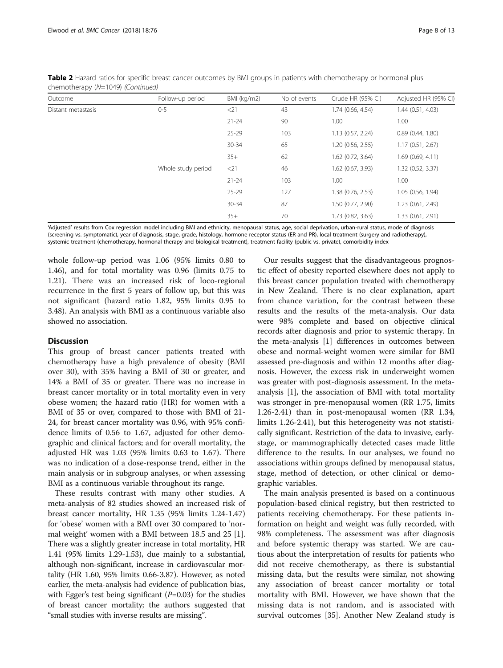| Outcome            | Follow-up period   | BMI (kg/m2) | No of events | Crude HR (95% CI)   | Adjusted HR (95% CI) |
|--------------------|--------------------|-------------|--------------|---------------------|----------------------|
| Distant metastasis | $0 - 5$            | $<$ 21      | 43           | 1.74 (0.66, 4.54)   | 1.44(0.51, 4.03)     |
|                    |                    | $21 - 24$   | 90           | 1.00                | 1.00                 |
|                    |                    | $25 - 29$   | 103          | 1.13 (0.57, 2.24)   | 0.89(0.44, 1.80)     |
|                    |                    | $30 - 34$   | 65           | 1.20 (0.56, 2.55)   | 1.17(0.51, 2.67)     |
|                    |                    | $35+$       | 62           | 1.62 (0.72, 3.64)   | 1.69(0.69, 4.11)     |
|                    | Whole study period | $<$ 21      | 46           | $1.62$ (0.67, 3.93) | 1.32 (0.52, 3.37)    |
|                    |                    | $21 - 24$   | 103          | 1.00                | 1.00                 |
|                    |                    | $25 - 29$   | 127          | 1.38 (0.76, 2.53)   | 1.05 (0.56, 1.94)    |
|                    |                    | $30 - 34$   | 87           | 1.50 (0.77, 2.90)   | 1.23 (0.61, 2.49)    |
|                    |                    | $35+$       | 70           | 1.73 (0.82, 3.63)   | 1.33 (0.61, 2.91)    |

Table 2 Hazard ratios for specific breast cancer outcomes by BMI groups in patients with chemotherapy or hormonal plus chemotherapy (N=1049) (Continued)

'Adjusted' results from Cox regression model including BMI and ethnicity, menopausal status, age, social deprivation, urban-rural status, mode of diagnosis (screening vs. symptomatic), year of diagnosis, stage, grade, histology, hormone receptor status (ER and PR), local treatment (surgery and radiotherapy), systemic treatment (chemotherapy, hormonal therapy and biological treatment), treatment facility (public vs. private), comorbidity index

whole follow-up period was 1.06 (95% limits 0.80 to 1.46), and for total mortality was 0.96 (limits 0.75 to 1.21). There was an increased risk of loco-regional recurrence in the first 5 years of follow up, but this was not significant (hazard ratio 1.82, 95% limits 0.95 to 3.48). An analysis with BMI as a continuous variable also showed no association.

#### **Discussion**

This group of breast cancer patients treated with chemotherapy have a high prevalence of obesity (BMI over 30), with 35% having a BMI of 30 or greater, and 14% a BMI of 35 or greater. There was no increase in breast cancer mortality or in total mortality even in very obese women; the hazard ratio (HR) for women with a BMI of 35 or over, compared to those with BMI of 21- 24, for breast cancer mortality was 0.96, with 95% confidence limits of 0.56 to 1.67, adjusted for other demographic and clinical factors; and for overall mortality, the adjusted HR was 1.03 (95% limits 0.63 to 1.67). There was no indication of a dose-response trend, either in the main analysis or in subgroup analyses, or when assessing BMI as a continuous variable throughout its range.

These results contrast with many other studies. A meta-analysis of 82 studies showed an increased risk of breast cancer mortality, HR 1.35 (95% limits 1.24-1.47) for 'obese' women with a BMI over 30 compared to 'normal weight' women with a BMI between 18.5 and 25 [\[1](#page-11-0)]. There was a slightly greater increase in total mortality, HR 1.41 (95% limits 1.29-1.53), due mainly to a substantial, although non-significant, increase in cardiovascular mortality (HR 1.60, 95% limits 0.66-3.87). However, as noted earlier, the meta-analysis had evidence of publication bias, with Egger's test being significant  $(P=0.03)$  for the studies of breast cancer mortality; the authors suggested that "small studies with inverse results are missing".

Our results suggest that the disadvantageous prognostic effect of obesity reported elsewhere does not apply to this breast cancer population treated with chemotherapy in New Zealand. There is no clear explanation, apart from chance variation, for the contrast between these results and the results of the meta-analysis. Our data were 98% complete and based on objective clinical records after diagnosis and prior to systemic therapy. In the meta-analysis [[1\]](#page-11-0) differences in outcomes between obese and normal-weight women were similar for BMI assessed pre-diagnosis and within 12 months after diagnosis. However, the excess risk in underweight women was greater with post-diagnosis assessment. In the metaanalysis [\[1](#page-11-0)], the association of BMI with total mortality was stronger in pre-menopausal women (RR 1.75, limits 1.26-2.41) than in post-menopausal women (RR 1.34, limits 1.26-2.41), but this heterogeneity was not statistically significant. Restriction of the data to invasive, earlystage, or mammographically detected cases made little difference to the results. In our analyses, we found no associations within groups defined by menopausal status, stage, method of detection, or other clinical or demographic variables.

The main analysis presented is based on a continuous population-based clinical registry, but then restricted to patients receiving chemotherapy. For these patients information on height and weight was fully recorded, with 98% completeness. The assessment was after diagnosis and before systemic therapy was started. We are cautious about the interpretation of results for patients who did not receive chemotherapy, as there is substantial missing data, but the results were similar, not showing any association of breast cancer mortality or total mortality with BMI. However, we have shown that the missing data is not random, and is associated with survival outcomes [[35\]](#page-12-0). Another New Zealand study is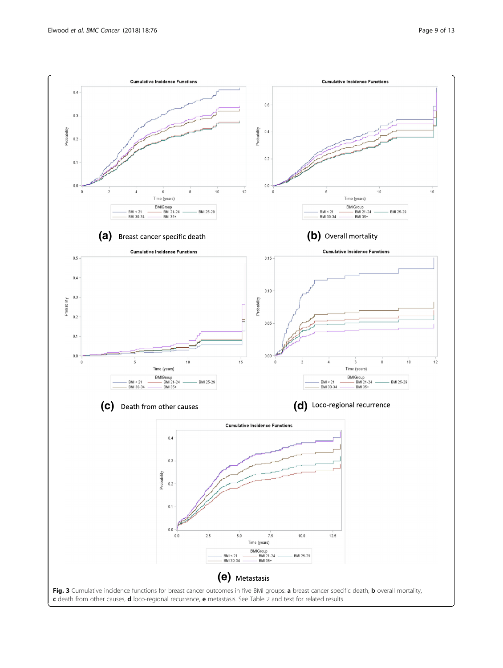<span id="page-8-0"></span>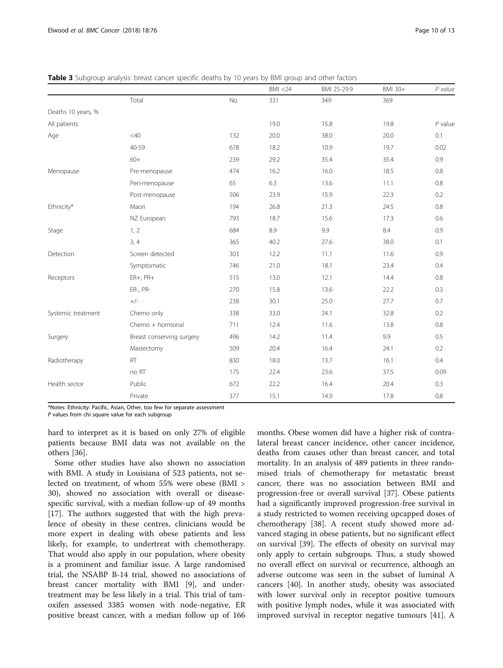<span id="page-9-0"></span>

| <b>Table 3</b> Subgroup analysis: breast cancer specific deaths by 10 years by BMI group and other factors |  |  |  |  |
|------------------------------------------------------------------------------------------------------------|--|--|--|--|
|------------------------------------------------------------------------------------------------------------|--|--|--|--|

|                    |                           |     | BMI < 24 | BMI 25-29.9 | BMI 30+ | P value   |
|--------------------|---------------------------|-----|----------|-------------|---------|-----------|
|                    | Total                     | No. | 331      | 349         | 369     |           |
| Deaths 10 years, % |                           |     |          |             |         |           |
| All patients       |                           |     | 19.0     | 15.8        | 19.8    | $P$ value |
| Age                | <40                       | 132 | 20.0     | 38.0        | 20.0    | 0.1       |
|                    | $40 - 59$                 | 678 | 18.2     | 10.9        | 19.7    | 0.02      |
|                    | $60+$                     | 239 | 29.2     | 35.4        | 35.4    | 0.9       |
| Menopause          | Pre-menopause             | 474 | 16.2     | 16.0        | 18.5    | 0.8       |
|                    | Peri-menopause            | 65  | 6.3      | 13.6        | 11.1    | $0.8\,$   |
|                    | Post-menopause            | 506 | 23.9     | 15.9        | 22.3    | 0.2       |
| Ethnicity*         | Maori                     | 194 | 26.8     | 21.3        | 24.5    | $0.8\,$   |
|                    | NZ European               | 793 | 18.7     | 15.6        | 17.3    | 0.6       |
| Stage              | 1, 2                      | 684 | 8.9      | 9.9         | 8.4     | 0.9       |
|                    | 3, 4                      | 365 | 40.2     | 27.6        | 38.0    | 0.1       |
| Detection          | Screen detected           | 303 | 12.2     | 11.1        | 11.6    | 0.9       |
|                    | Symptomatic               | 746 | 21.0     | 18.1        | 23.4    | 0.4       |
| Receptors          | $ER+, PR+$                | 515 | 13.0     | 12.1        | 14.4    | 0.8       |
|                    | ER-, PR-                  | 270 | 15.8     | 13.6        | 22.2    | 0.3       |
|                    | $+/-$                     | 238 | 30.1     | 25.0        | 27.7    | 0.7       |
| Systemic treatment | Chemo only                | 338 | 33.0     | 24.1        | 32.8    | 0.2       |
|                    | Chemo + hormonal          | 711 | 12.4     | 11.6        | 13.8    | $0.8\,$   |
| Surgery            | Breast conserving surgery | 496 | 14.2     | 11.4        | 9.9     | 0.5       |
|                    | Mastectomy                | 509 | 20.4     | 16.4        | 24.1    | 0.2       |
| Radiotherapy       | RT                        | 830 | 18.0     | 13.7        | 16.1    | 0.4       |
|                    | no RT                     | 175 | 22.4     | 23.6        | 37.5    | 0.09      |
| Health sector      | Public                    | 672 | 22.2     | 16.4        | 20.4    | 0.3       |
|                    | Private                   | 377 | 15.1     | 14.9        | 17.8    | $0.8\,$   |

\*Notes: Ethnicity: Pacific, Asian, Other, too few for separate assessment

 $P$  values from chi square value for each subgroup

hard to interpret as it is based on only 27% of eligible patients because BMI data was not available on the others [\[36](#page-12-0)].

Some other studies have also shown no association with BMI. A study in Louisiana of 523 patients, not selected on treatment, of whom 55% were obese (BMI > 30), showed no association with overall or diseasespecific survival, with a median follow-up of 49 months [[17\]](#page-12-0). The authors suggested that with the high prevalence of obesity in these centres, clinicians would be more expert in dealing with obese patients and less likely, for example, to undertreat with chemotherapy. That would also apply in our population, where obesity is a prominent and familiar issue. A large randomised trial, the NSABP B-14 trial, showed no associations of breast cancer mortality with BMI [[9\]](#page-11-0), and undertreatment may be less likely in a trial. This trial of tamoxifen assessed 3385 women with node-negative, ER positive breast cancer, with a median follow up of 166

months. Obese women did have a higher risk of contralateral breast cancer incidence, other cancer incidence, deaths from causes other than breast cancer, and total mortality. In an analysis of 489 patients in three randomised trials of chemotherapy for metastatic breast cancer, there was no association between BMI and progression-free or overall survival [[37\]](#page-12-0). Obese patients had a significantly improved progression-free survival in a study restricted to women receiving upcapped doses of chemotherapy [\[38](#page-12-0)]. A recent study showed more advanced staging in obese patients, but no significant effect on survival [[39\]](#page-12-0). The effects of obesity on survival may only apply to certain subgroups. Thus, a study showed no overall effect on survival or recurrence, although an adverse outcome was seen in the subset of luminal A cancers [[40](#page-12-0)]. In another study, obesity was associated with lower survival only in receptor positive tumours with positive lymph nodes, while it was associated with improved survival in receptor negative tumours [[41](#page-12-0)]. A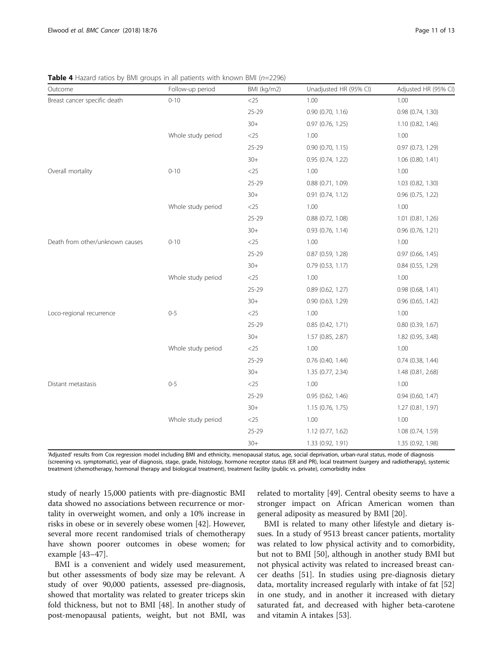<span id="page-10-0"></span>**Table 4** Hazard ratios by BMI groups in all patients with known BMI ( $n=2296$ )

| Outcome                         | Follow-up period   | BMI (kg/m2) | Unadjusted HR (95% CI) | Adjusted HR (95% CI)  |
|---------------------------------|--------------------|-------------|------------------------|-----------------------|
| Breast cancer specific death    | $0 - 10$           | $<$ 25      | 1.00                   | 1.00                  |
|                                 |                    | $25 - 29$   | 0.90 (0.70, 1.16)      | 0.98 (0.74, 1.30)     |
|                                 |                    | $30+$       | $0.97$ (0.76, 1.25)    | 1.10 (0.82, 1.46)     |
|                                 | Whole study period | $<$ 25      | 1.00                   | 1.00                  |
|                                 |                    | $25 - 29$   | 0.90(0.70, 1.15)       | 0.97 (0.73, 1.29)     |
|                                 |                    | $30+$       | 0.95(0.74, 1.22)       | $1.06$ $(0.80, 1.41)$ |
| Overall mortality               | $0 - 10$           | $<$ 25      | 1.00                   | 1.00                  |
|                                 |                    | $25 - 29$   | 0.88(0.71, 1.09)       | 1.03 (0.82, 1.30)     |
|                                 |                    | $30+$       | 0.91(0.74, 1.12)       | 0.96 (0.75, 1.22)     |
|                                 | Whole study period | $<$ 25      | 1.00                   | 1.00                  |
|                                 |                    | $25 - 29$   | $0.88$ $(0.72, 1.08)$  | 1.01 (0.81, 1.26)     |
|                                 |                    | $30+$       | $0.93$ (0.76, 1.14)    | $0.96$ (0.76, 1.21)   |
| Death from other/unknown causes | $0 - 10$           | $<$ 25      | 1.00                   | 1.00                  |
|                                 |                    | 25-29       | 0.87 (0.59, 1.28)      | 0.97 (0.66, 1.45)     |
|                                 |                    | $30+$       | $0.79$ $(0.53, 1.17)$  | $0.84$ (0.55, 1.29)   |
|                                 | Whole study period | $<$ 25      | 1.00                   | 1.00                  |
|                                 |                    | $25 - 29$   | 0.89(0.62, 1.27)       | 0.98(0.68, 1.41)      |
|                                 |                    | $30+$       | 0.90 (0.63, 1.29)      | $0.96$ $(0.65, 1.42)$ |
| Loco-regional recurrence        | $0 - 5$            | $<$ 25      | 1.00                   | 1.00                  |
|                                 |                    | $25 - 29$   | 0.85(0.42, 1.71)       | $0.80$ (0.39, 1.67)   |
|                                 |                    | $30+$       | 1.57 (0.85, 2.87)      | 1.82 (0.95, 3.48)     |
|                                 | Whole study period | $<$ 25      | 1.00                   | 1.00                  |
|                                 |                    | $25 - 29$   | $0.76$ (0.40, 1.44)    | $0.74$ (0.38, 1.44)   |
|                                 |                    | $30+$       | 1.35 (0.77, 2.34)      | 1.48 (0.81, 2.68)     |
| Distant metastasis              | $0 - 5$            | $<$ 25      | 1.00                   | 1.00                  |
|                                 |                    | 25-29       | 0.95(0.62, 1.46)       | $0.94$ (0.60, 1.47)   |
|                                 |                    | $30+$       | 1.15(0.76, 1.75)       | 1.27(0.81, 1.97)      |
|                                 | Whole study period | $<$ 25      | 1.00                   | 1.00                  |
|                                 |                    | $25 - 29$   | 1.12 (0.77, 1.62)      | 1.08 (0.74, 1.59)     |
|                                 |                    | $30+$       | 1.33 (0.92, 1.91)      | 1.35 (0.92, 1.98)     |

'Adjusted' results from Cox regression model including BMI and ethnicity, menopausal status, age, social deprivation, urban-rural status, mode of diagnosis (screening vs. symptomatic), year of diagnosis, stage, grade, histology, hormone receptor status (ER and PR), local treatment (surgery and radiotherapy), systemic treatment (chemotherapy, hormonal therapy and biological treatment), treatment facility (public vs. private), comorbidity index

study of nearly 15,000 patients with pre-diagnostic BMI data showed no associations between recurrence or mortality in overweight women, and only a 10% increase in risks in obese or in severely obese women [\[42](#page-12-0)]. However, several more recent randomised trials of chemotherapy have shown poorer outcomes in obese women; for example [[43](#page-12-0)–[47](#page-12-0)].

BMI is a convenient and widely used measurement, but other assessments of body size may be relevant. A study of over 90,000 patients, assessed pre-diagnosis, showed that mortality was related to greater triceps skin fold thickness, but not to BMI [[48\]](#page-12-0). In another study of post-menopausal patients, weight, but not BMI, was related to mortality [\[49](#page-12-0)]. Central obesity seems to have a stronger impact on African American women than general adiposity as measured by BMI [[20\]](#page-12-0).

BMI is related to many other lifestyle and dietary issues. In a study of 9513 breast cancer patients, mortality was related to low physical activity and to comorbidity, but not to BMI [[50\]](#page-12-0), although in another study BMI but not physical activity was related to increased breast cancer deaths [[51\]](#page-12-0). In studies using pre-diagnosis dietary data, mortality increased regularly with intake of fat [[52](#page-12-0)] in one study, and in another it increased with dietary saturated fat, and decreased with higher beta-carotene and vitamin A intakes [\[53\]](#page-12-0).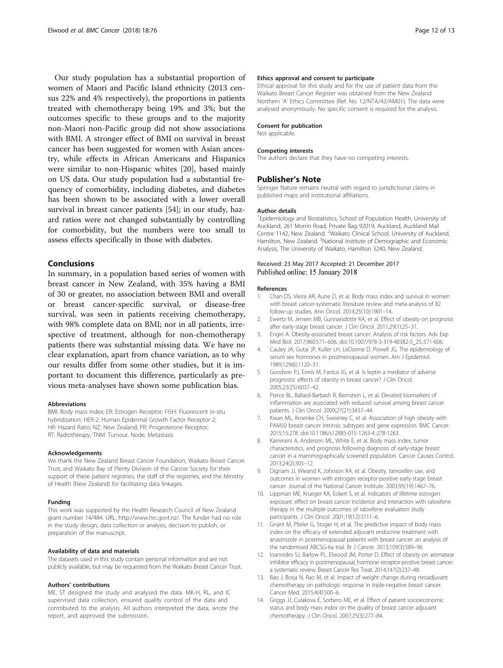<span id="page-11-0"></span>Our study population has a substantial proportion of women of Maori and Pacific Island ethnicity (2013 census 22% and 4% respectively), the proportions in patients treated with chemotherapy being 19% and 3%; but the outcomes specific to these groups and to the majority non-Maori non-Pacific group did not show associations with BMI. A stronger effect of BMI on survival in breast cancer has been suggested for women with Asian ancestry, while effects in African Americans and Hispanics were similar to non-Hispanic whites [[20\]](#page-12-0), based mainly on US data. Our study population had a substantial frequency of comorbidity, including diabetes, and diabetes has been shown to be associated with a lower overall survival in breast cancer patients [[54\]](#page-12-0); in our study, hazard ratios were not changed substantially by controlling for comorbidity, but the numbers were too small to assess effects specifically in those with diabetes.

#### Conclusions

In summary, in a population based series of women with breast cancer in New Zealand, with 35% having a BMI of 30 or greater, no association between BMI and overall or breast cancer-specific survival, or disease-free survival, was seen in patients receiving chemotherapy, with 98% complete data on BMI; nor in all patients, irrespective of treatment, although for non-chemotherapy patients there was substantial missing data. We have no clear explanation, apart from chance variation, as to why our results differ from some other studies, but it is important to document this difference, particularly as previous meta-analyses have shown some publication bias.

#### Abbreviations

BMI: Body mass index; ER: Estrogen Receptor; FISH: Fluorescent in-situ hybridization; HER-2: Human Epidermal Growth Factor Receptor 2; HR: Hazard Ratio; NZ: New Zealand; PR: Progesterone Receptor; RT: Radiotherapy; TNM: Tumour, Node, Metastasis

#### Acknowledgements

We thank the New Zealand Breast Cancer Foundation, Waikato Breast Cancer Trust, and Waikato Bay of Plenty Division of the Cancer Society for their support of these patient registries, the staff of the registries, and the Ministry of Health (New Zealand) for facilitating data linkages.

#### Funding

This work was supported by the Health Research Council of New Zealand grant number 14/484. URL:<http://www.hrc.govt.nz>/. The funder had no role in the study design, data collection or analysis, decision to publish, or preparation of the manuscript.

#### Availability of data and materials

The datasets used in this study contain personal information and are not publicly available, but may be requested from the Waikato Breast Cancer Trust.

#### Authors' contributions

ME, ST designed the study and analysed the data. MK-H, RL, and IC supervised data collection, ensured quality control of the data and contributed to the analysis. All authors interpreted the data, wrote the report, and approved the submission.

#### Ethics approval and consent to participate

Ethical approval for this study and for the use of patient data from the Waikato Breast Cancer Register was obtained from the New Zealand Northern 'A' Ethics Committee (Ref. No. 12/NTA/42/AM01). The data were analysed anonymously. No specific consent is required for the analysis.

#### Consent for publication

Not applicable.

#### Competing interests

The authors declare that they have no competing interests.

#### Publisher's Note

Springer Nature remains neutral with regard to jurisdictional claims in published maps and institutional affiliations.

#### Author details

<sup>1</sup> Epidemiology and Biostatistics, School of Population Health, University of Auckland, 261 Morrin Road, Private Bag 92019, Auckland, Auckland Mail Centre 1142, New Zealand. <sup>2</sup>Waikato Clinical School, University of Auckland, Hamilton, New Zealand. <sup>3</sup>National Institute of Demographic and Economic Analysis, The University of Waikato, Hamilton 3240, New Zealand.

#### Received: 23 May 2017 Accepted: 21 December 2017 Published online: 15 January 2018

#### References

- 1. Chan DS, Vieira AR, Aune D, et al. Body mass index and survival in women with breast cancer-systematic literature review and meta-analysis of 82 follow-up studies. Ann Oncol. 2014;25(10):1901–14.
- 2. Ewertz M, Jensen MB, Gunnarsdottir KA, et al. Effect of obesity on prognosis after early-stage breast cancer. J Clin Oncol. 2011;29(1):25–31.
- 3. Engin A. Obesity-associated breast cancer: Analysis of risk factors. Adv Exp Med Biol. 2017;960:571–606. doi[:10.1007/978-3-319-48382-5\\_25.:571-606.](https://doi.org/10.1007/978-3-319-48382-5_25.:571-606.)
- 4. Cauley JA, Gutai JP, Kuller LH, LeDonne D, Powell JG. The epidemiology of serum sex hormones in postmenopausal women. Am J Epidemiol. 1989;129(6):1120–31.
- 5. Goodwin PJ, Ennis M, Fantus IG, et al. Is leptin a mediator of adverse prognostic effects of obesity in breast cancer? J Clin Oncol. 2005;23(25):6037–42.
- 6. Pierce BL, Ballard-Barbash R, Bernstein L, et al. Elevated biomarkers of inflammation are associated with reduced survival among breast cancer patients. J Clin Oncol. 2009;27(21):3437–44.
- 7. Kwan ML, Kroenke CH, Sweeney C, et al. Association of high obesity with PAM50 breast cancer intrinsic subtypes and gene expression. BMC Cancer. 2015;15:278. doi[:10.1186/s12885-015-1263-4.:278-1263.](https://doi.org/10.1186/s12885-015-1263-4.:278-1263.)
- 8. Kamineni A, Anderson ML, White E, et al. Body mass index, tumor characteristics, and prognosis following diagnosis of early-stage breast cancer in a mammographically screened population. Cancer Causes Control. 2013;24(2):305–12.
- 9. Dignam JJ, Wieand K, Johnson KA, et al. Obesity, tamoxifen use, and outcomes in women with estrogen receptor-positive early-stage breast cancer. Journal of the National Cancer Institute. 2003;95(19):1467–76.
- 10. Lippman ME, Krueger KA, Eckert S, et al. Indicators of lifetime estrogen exposure: effect on breast cancer incidence and interaction with raloxifene therapy in the multiple outcomes of raloxifene evaluation study participants. J Clin Oncol. 2001;19(12):3111–6.
- 11. Gnant M, Pfeiler G, Stoger H, et al. The predictive impact of body mass index on the efficacy of extended adjuvant endocrine treatment with anastrozole in postmenopausal patients with breast cancer: an analysis of the randomised ABCSG-6a trial. Br J Cancer. 2013;109(3):589–96.
- 12. Ioannides SJ, Barlow PL, Elwood JM, Porter D. Effect of obesity on aromatase inhibitor efficacy in postmenopausal, hormone receptor-positive breast cancer: a systematic review. Breast Cancer Res Treat. 2014;147(2):237–48.
- 13. Bao J, Borja N, Rao M, et al. Impact of weight change during neoadjuvant chemotherapy on pathologic response in triple-negative breast cancer. Cancer Med. 2015;4(4):500–6.
- 14. Griggs JJ, Culakova E, Sorbero ME, et al. Effect of patient socioeconomic status and body mass index on the quality of breast cancer adjuvant chemotherapy. J Clin Oncol. 2007;25(3):277–84.